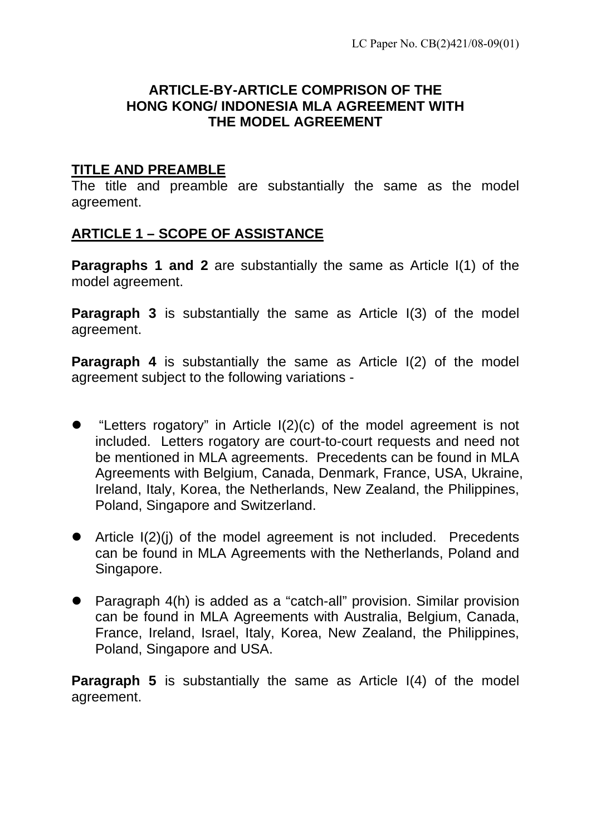#### **ARTICLE-BY-ARTICLE COMPRISON OF THE HONG KONG/ INDONESIA MLA AGREEMENT WITH THE MODEL AGREEMENT**

#### **TITLE AND PREAMBLE**

The title and preamble are substantially the same as the model agreement.

#### **ARTICLE 1 – SCOPE OF ASSISTANCE**

**Paragraphs 1 and 2** are substantially the same as Article I(1) of the model agreement.

**Paragraph 3** is substantially the same as Article I(3) of the model agreement.

**Paragraph 4** is substantially the same as Article I(2) of the model agreement subject to the following variations -

- "Letters rogatory" in Article  $I(2)(c)$  of the model agreement is not included. Letters rogatory are court-to-court requests and need not be mentioned in MLA agreements. Precedents can be found in MLA Agreements with Belgium, Canada, Denmark, France, USA, Ukraine, Ireland, Italy, Korea, the Netherlands, New Zealand, the Philippines, Poland, Singapore and Switzerland.
- $\bullet$  Article I(2)(i) of the model agreement is not included. Precedents can be found in MLA Agreements with the Netherlands, Poland and Singapore.
- Paragraph  $4(h)$  is added as a "catch-all" provision. Similar provision can be found in MLA Agreements with Australia, Belgium, Canada, France, Ireland, Israel, Italy, Korea, New Zealand, the Philippines, Poland, Singapore and USA.

**Paragraph 5** is substantially the same as Article I(4) of the model agreement.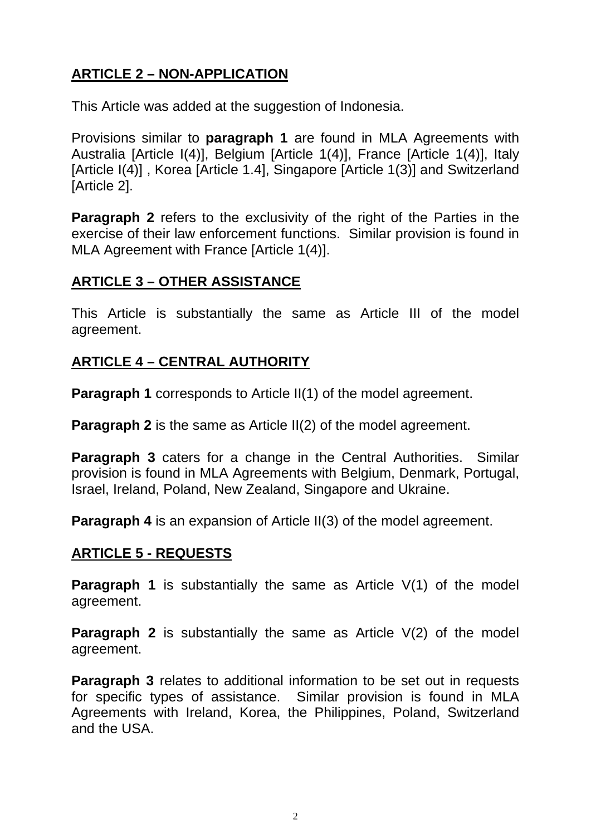# **ARTICLE 2 – NON-APPLICATION**

This Article was added at the suggestion of Indonesia.

Provisions similar to **paragraph 1** are found in MLA Agreements with Australia [Article I(4)], Belgium [Article 1(4)], France [Article 1(4)], Italy [Article I(4)] , Korea [Article 1.4], Singapore [Article 1(3)] and Switzerland [Article 2].

**Paragraph 2** refers to the exclusivity of the right of the Parties in the exercise of their law enforcement functions. Similar provision is found in MLA Agreement with France [Article 1(4)].

#### **ARTICLE 3 – OTHER ASSISTANCE**

This Article is substantially the same as Article III of the model agreement.

#### **ARTICLE 4 – CENTRAL AUTHORITY**

**Paragraph 1** corresponds to Article II(1) of the model agreement.

**Paragraph 2** is the same as Article II(2) of the model agreement.

**Paragraph 3** caters for a change in the Central Authorities. Similar provision is found in MLA Agreements with Belgium, Denmark, Portugal, Israel, Ireland, Poland, New Zealand, Singapore and Ukraine.

**Paragraph 4** is an expansion of Article II(3) of the model agreement.

#### **ARTICLE 5 - REQUESTS**

**Paragraph 1** is substantially the same as Article V(1) of the model agreement.

**Paragraph 2** is substantially the same as Article V(2) of the model agreement.

**Paragraph 3** relates to additional information to be set out in requests for specific types of assistance. Similar provision is found in MLA Agreements with Ireland, Korea, the Philippines, Poland, Switzerland and the USA.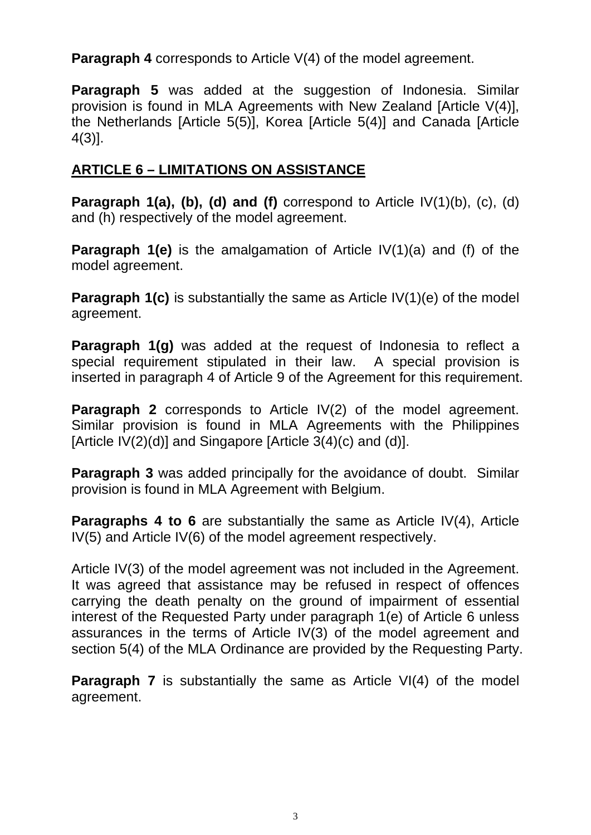**Paragraph 4** corresponds to Article V(4) of the model agreement.

**Paragraph 5** was added at the suggestion of Indonesia. Similar provision is found in MLA Agreements with New Zealand [Article V(4)], the Netherlands [Article 5(5)], Korea [Article 5(4)] and Canada [Article 4(3)].

#### **ARTICLE 6 – LIMITATIONS ON ASSISTANCE**

**Paragraph 1(a), (b), (d) and (f)** correspond to Article IV(1)(b), (c), (d) and (h) respectively of the model agreement.

**Paragraph 1(e)** is the amalgamation of Article IV(1)(a) and (f) of the model agreement.

**Paragraph 1(c)** is substantially the same as Article IV(1)(e) of the model agreement.

**Paragraph 1(g)** was added at the request of Indonesia to reflect a special requirement stipulated in their law. A special provision is inserted in paragraph 4 of Article 9 of the Agreement for this requirement.

**Paragraph 2** corresponds to Article IV(2) of the model agreement. Similar provision is found in MLA Agreements with the Philippines [Article  $IV(2)(d)$ ] and Singapore [Article  $3(4)(c)$  and  $(d)$ ].

**Paragraph 3** was added principally for the avoidance of doubt. Similar provision is found in MLA Agreement with Belgium.

**Paragraphs 4 to 6** are substantially the same as Article IV(4), Article IV(5) and Article IV(6) of the model agreement respectively.

Article IV(3) of the model agreement was not included in the Agreement. It was agreed that assistance may be refused in respect of offences carrying the death penalty on the ground of impairment of essential interest of the Requested Party under paragraph 1(e) of Article 6 unless assurances in the terms of Article IV(3) of the model agreement and section 5(4) of the MLA Ordinance are provided by the Requesting Party.

**Paragraph 7** is substantially the same as Article VI(4) of the model agreement.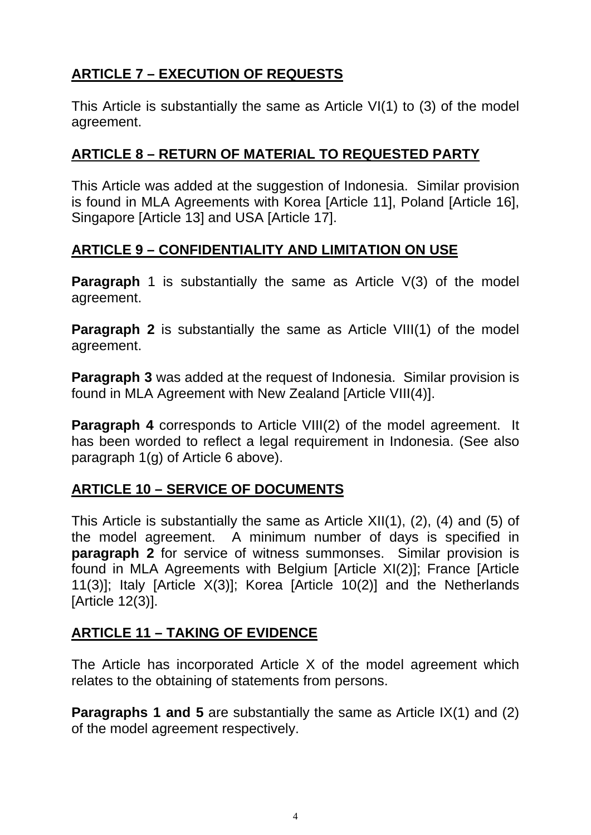# **ARTICLE 7 – EXECUTION OF REQUESTS**

This Article is substantially the same as Article VI(1) to (3) of the model agreement.

#### **ARTICLE 8 – RETURN OF MATERIAL TO REQUESTED PARTY**

This Article was added at the suggestion of Indonesia. Similar provision is found in MLA Agreements with Korea [Article 11], Poland [Article 16], Singapore [Article 13] and USA [Article 17].

#### **ARTICLE 9 – CONFIDENTIALITY AND LIMITATION ON USE**

**Paragraph** 1 is substantially the same as Article V(3) of the model agreement.

**Paragraph 2** is substantially the same as Article VIII(1) of the model agreement.

**Paragraph 3** was added at the request of Indonesia. Similar provision is found in MLA Agreement with New Zealand [Article VIII(4)].

**Paragraph 4** corresponds to Article VIII(2) of the model agreement. It has been worded to reflect a legal requirement in Indonesia. (See also paragraph 1(g) of Article 6 above).

### **ARTICLE 10 – SERVICE OF DOCUMENTS**

This Article is substantially the same as Article XII(1), (2), (4) and (5) of the model agreement. A minimum number of days is specified in **paragraph 2** for service of witness summonses. Similar provision is found in MLA Agreements with Belgium [Article XI(2)]; France [Article 11(3)]; Italy [Article X(3)]; Korea [Article 10(2)] and the Netherlands [Article 12(3)].

### **ARTICLE 11 – TAKING OF EVIDENCE**

The Article has incorporated Article X of the model agreement which relates to the obtaining of statements from persons.

**Paragraphs 1 and 5** are substantially the same as Article IX(1) and (2) of the model agreement respectively.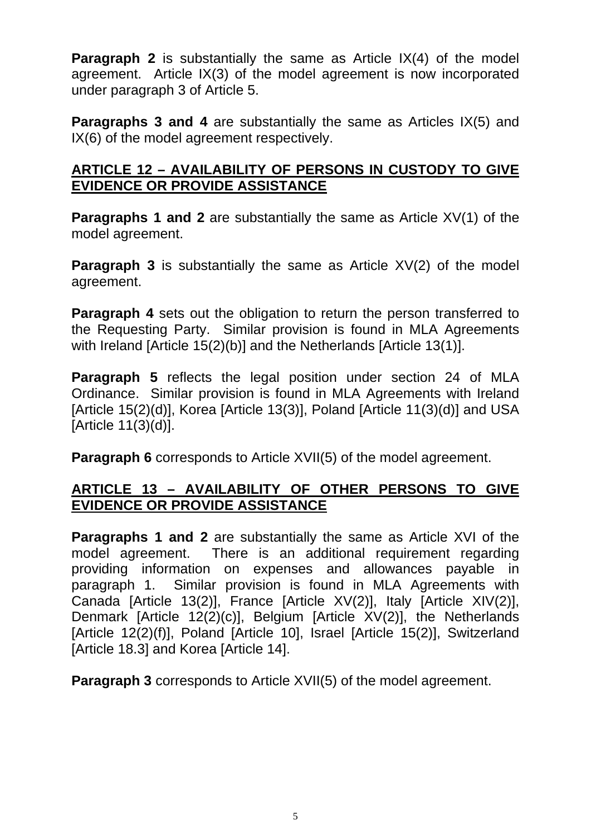**Paragraph 2** is substantially the same as Article IX(4) of the model agreement. Article IX(3) of the model agreement is now incorporated under paragraph 3 of Article 5.

**Paragraphs 3 and 4** are substantially the same as Articles IX(5) and IX(6) of the model agreement respectively.

#### **ARTICLE 12 – AVAILABILITY OF PERSONS IN CUSTODY TO GIVE EVIDENCE OR PROVIDE ASSISTANCE**

**Paragraphs 1 and 2** are substantially the same as Article XV(1) of the model agreement.

**Paragraph 3** is substantially the same as Article XV(2) of the model agreement.

**Paragraph 4** sets out the obligation to return the person transferred to the Requesting Party. Similar provision is found in MLA Agreements with Ireland [Article 15(2)(b)] and the Netherlands [Article 13(1)].

**Paragraph 5** reflects the legal position under section 24 of MLA Ordinance. Similar provision is found in MLA Agreements with Ireland [Article 15(2)(d)], Korea [Article 13(3)], Poland [Article 11(3)(d)] and USA [Article 11(3)(d)].

**Paragraph 6** corresponds to Article XVII(5) of the model agreement.

### **ARTICLE 13 – AVAILABILITY OF OTHER PERSONS TO GIVE EVIDENCE OR PROVIDE ASSISTANCE**

**Paragraphs 1 and 2** are substantially the same as Article XVI of the model agreement. There is an additional requirement regarding providing information on expenses and allowances payable in paragraph 1. Similar provision is found in MLA Agreements with Canada [Article 13(2)], France [Article XV(2)], Italy [Article XIV(2)], Denmark [Article 12(2)(c)], Belgium [Article XV(2)], the Netherlands [Article 12(2)(f)], Poland [Article 10], Israel [Article 15(2)], Switzerland [Article 18.3] and Korea [Article 14].

**Paragraph 3** corresponds to Article XVII(5) of the model agreement.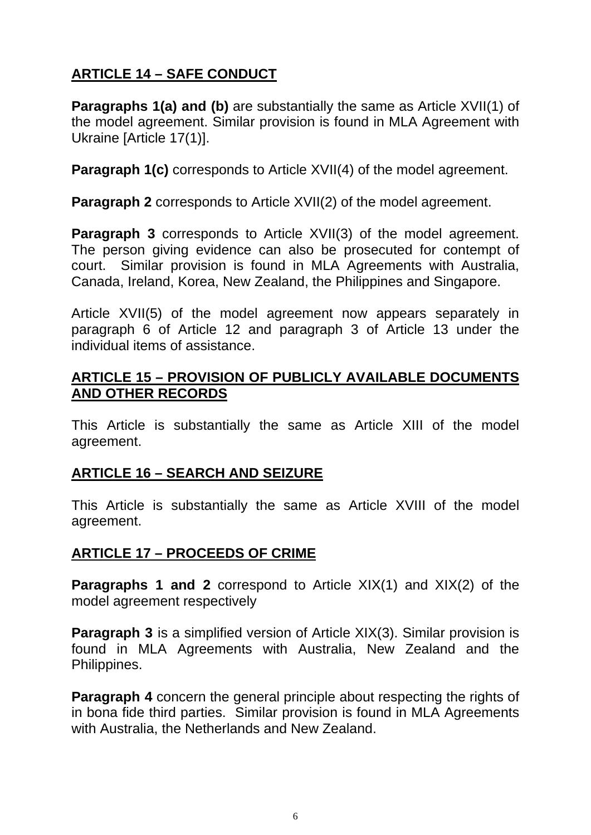# **ARTICLE 14 – SAFE CONDUCT**

**Paragraphs 1(a) and (b)** are substantially the same as Article XVII(1) of the model agreement. Similar provision is found in MLA Agreement with Ukraine [Article 17(1)].

**Paragraph 1(c)** corresponds to Article XVII(4) of the model agreement.

**Paragraph 2** corresponds to Article XVII(2) of the model agreement.

**Paragraph 3** corresponds to Article XVII(3) of the model agreement. The person giving evidence can also be prosecuted for contempt of court. Similar provision is found in MLA Agreements with Australia, Canada, Ireland, Korea, New Zealand, the Philippines and Singapore.

Article XVII(5) of the model agreement now appears separately in paragraph 6 of Article 12 and paragraph 3 of Article 13 under the individual items of assistance.

#### **ARTICLE 15 – PROVISION OF PUBLICLY AVAILABLE DOCUMENTS AND OTHER RECORDS**

This Article is substantially the same as Article XIII of the model agreement.

### **ARTICLE 16 – SEARCH AND SEIZURE**

This Article is substantially the same as Article XVIII of the model agreement.

### **ARTICLE 17 – PROCEEDS OF CRIME**

**Paragraphs 1 and 2** correspond to Article XIX(1) and XIX(2) of the model agreement respectively

**Paragraph 3** is a simplified version of Article XIX(3). Similar provision is found in MLA Agreements with Australia, New Zealand and the Philippines.

**Paragraph 4** concern the general principle about respecting the rights of in bona fide third parties. Similar provision is found in MLA Agreements with Australia, the Netherlands and New Zealand.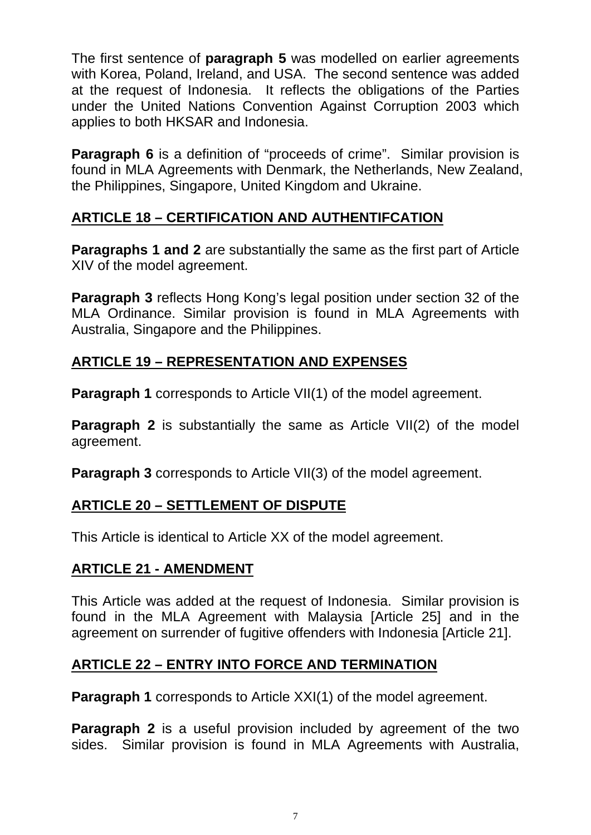The first sentence of **paragraph 5** was modelled on earlier agreements with Korea, Poland, Ireland, and USA. The second sentence was added at the request of Indonesia. It reflects the obligations of the Parties under the United Nations Convention Against Corruption 2003 which applies to both HKSAR and Indonesia.

**Paragraph 6** is a definition of "proceeds of crime". Similar provision is found in MLA Agreements with Denmark, the Netherlands, New Zealand, the Philippines, Singapore, United Kingdom and Ukraine.

### **ARTICLE 18 – CERTIFICATION AND AUTHENTIFCATION**

**Paragraphs 1 and 2** are substantially the same as the first part of Article XIV of the model agreement.

**Paragraph 3** reflects Hong Kong's legal position under section 32 of the MLA Ordinance. Similar provision is found in MLA Agreements with Australia, Singapore and the Philippines.

### **ARTICLE 19 – REPRESENTATION AND EXPENSES**

**Paragraph 1** corresponds to Article VII(1) of the model agreement.

**Paragraph 2** is substantially the same as Article VII(2) of the model agreement.

**Paragraph 3** corresponds to Article VII(3) of the model agreement.

### **ARTICLE 20 – SETTLEMENT OF DISPUTE**

This Article is identical to Article XX of the model agreement.

### **ARTICLE 21 - AMENDMENT**

This Article was added at the request of Indonesia. Similar provision is found in the MLA Agreement with Malaysia [Article 25] and in the agreement on surrender of fugitive offenders with Indonesia [Article 21].

# **ARTICLE 22 – ENTRY INTO FORCE AND TERMINATION**

**Paragraph 1** corresponds to Article XXI(1) of the model agreement.

**Paragraph 2** is a useful provision included by agreement of the two sides. Similar provision is found in MLA Agreements with Australia,